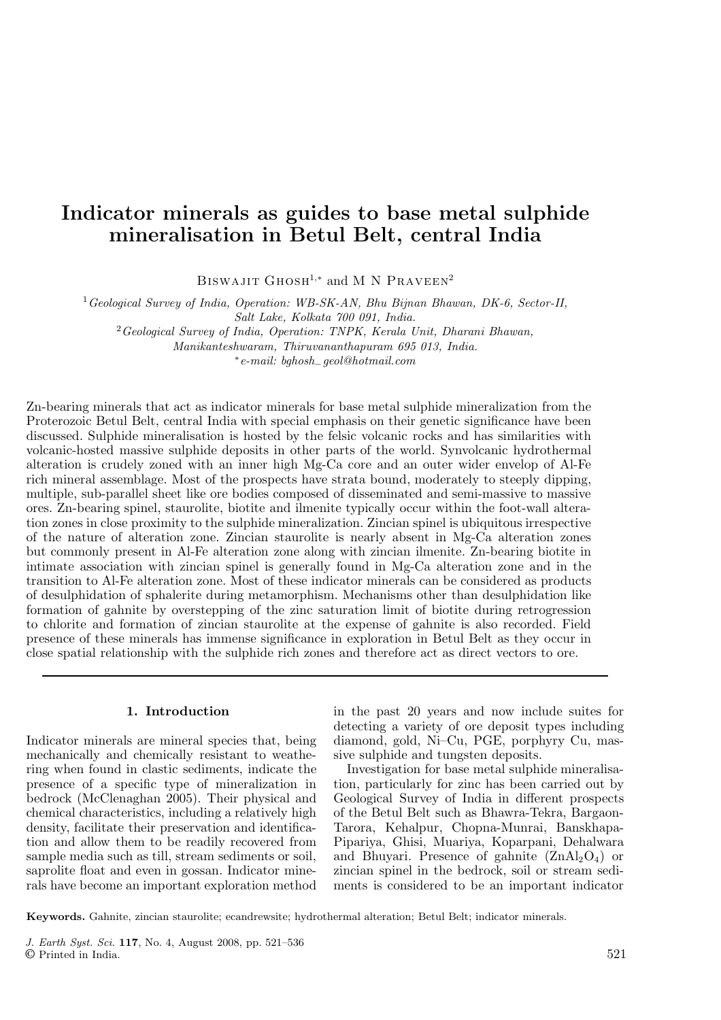# Indicator minerals as guides to base metal sulphide mineralisation in Betul Belt, central India

BISWAJIT  $G$ HOSH<sup>1,\*</sup> and M N PRAVEEN<sup>2</sup>

<sup>1</sup>*Geological Survey of India, Operation: WB-SK-AN, Bhu Bijnan Bhawan, DK-6, Sector-II, Salt Lake, Kolkata 700 091, India.*

<sup>2</sup>*Geological Survey of India, Operation: TNPK, Kerala Unit, Dharani Bhawan,*

*Manikanteshwaram, Thiruvananthapuram 695 013, India.*

∗ *e-mail: bghosh*−*geol@hotmail.com*

Zn-bearing minerals that act as indicator minerals for base metal sulphide mineralization from the Proterozoic Betul Belt, central India with special emphasis on their genetic significance have been discussed. Sulphide mineralisation is hosted by the felsic volcanic rocks and has similarities with volcanic-hosted massive sulphide deposits in other parts of the world. Synvolcanic hydrothermal alteration is crudely zoned with an inner high Mg-Ca core and an outer wider envelop of Al-Fe rich mineral assemblage. Most of the prospects have strata bound, moderately to steeply dipping, multiple, sub-parallel sheet like ore bodies composed of disseminated and semi-massive to massive ores. Zn-bearing spinel, staurolite, biotite and ilmenite typically occur within the foot-wall alteration zones in close proximity to the sulphide mineralization. Zincian spinel is ubiquitous irrespective of the nature of alteration zone. Zincian staurolite is nearly absent in Mg-Ca alteration zones but commonly present in Al-Fe alteration zone along with zincian ilmenite. Zn-bearing biotite in intimate association with zincian spinel is generally found in Mg-Ca alteration zone and in the transition to Al-Fe alteration zone. Most of these indicator minerals can be considered as products of desulphidation of sphalerite during metamorphism. Mechanisms other than desulphidation like formation of gahnite by overstepping of the zinc saturation limit of biotite during retrogression to chlorite and formation of zincian staurolite at the expense of gahnite is also recorded. Field presence of these minerals has immense significance in exploration in Betul Belt as they occur in close spatial relationship with the sulphide rich zones and therefore act as direct vectors to ore.

# 1. Introduction

Indicator minerals are mineral species that, being mechanically and chemically resistant to weathering when found in clastic sediments, indicate the presence of a specific type of mineralization in bedrock (McClenaghan 2005). Their physical and chemical characteristics, including a relatively high density, facilitate their preservation and identification and allow them to be readily recovered from sample media such as till, stream sediments or soil, saprolite float and even in gossan. Indicator minerals have become an important exploration method

in the past 20 years and now include suites for detecting a variety of ore deposit types including diamond, gold, Ni–Cu, PGE, porphyry Cu, massive sulphide and tungsten deposits.

Investigation for base metal sulphide mineralisation, particularly for zinc has been carried out by Geological Survey of India in different prospects of the Betul Belt such as Bhawra-Tekra, Bargaon-Tarora, Kehalpur, Chopna-Munrai, Banskhapa-Pipariya, Ghisi, Muariya, Koparpani, Dehalwara and Bhuyari. Presence of gahnite  $(ZnAl<sub>2</sub>O<sub>4</sub>)$  or zincian spinel in the bedrock, soil or stream sediments is considered to be an important indicator

Keywords. Gahnite, zincian staurolite; ecandrewsite; hydrothermal alteration; Betul Belt; indicator minerals.

*J. Earth Syst. Sci.* 117, No. 4, August 2008, pp. 521–536 © Printed in India. 521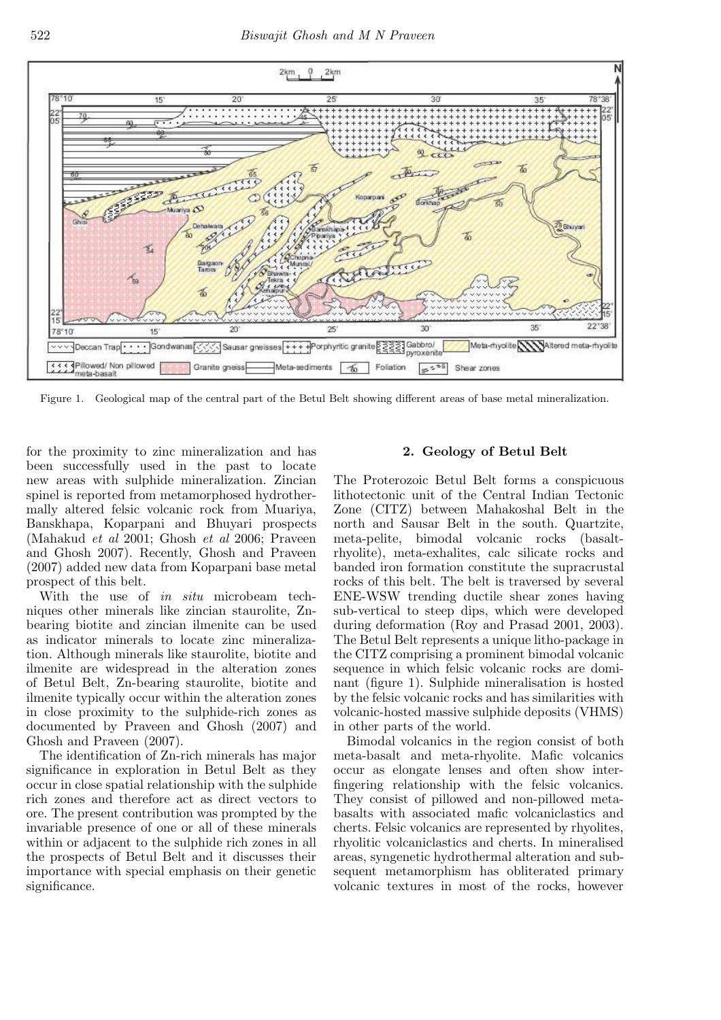

Figure 1. Geological map of the central part of the Betul Belt showing different areas of base metal mineralization.

for the proximity to zinc mineralization and has been successfully used in the past to locate new areas with sulphide mineralization. Zincian spinel is reported from metamorphosed hydrothermally altered felsic volcanic rock from Muariya, Banskhapa, Koparpani and Bhuyari prospects (Mahakud *et al* 2001; Ghosh *et al* 2006; Praveen and Ghosh 2007). Recently, Ghosh and Praveen (2007) added new data from Koparpani base metal prospect of this belt.

With the use of *in situ* microbeam techniques other minerals like zincian staurolite, Znbearing biotite and zincian ilmenite can be used as indicator minerals to locate zinc mineralization. Although minerals like staurolite, biotite and ilmenite are widespread in the alteration zones of Betul Belt, Zn-bearing staurolite, biotite and ilmenite typically occur within the alteration zones in close proximity to the sulphide-rich zones as documented by Praveen and Ghosh (2007) and Ghosh and Praveen (2007).

The identification of Zn-rich minerals has major significance in exploration in Betul Belt as they occur in close spatial relationship with the sulphide rich zones and therefore act as direct vectors to ore. The present contribution was prompted by the invariable presence of one or all of these minerals within or adjacent to the sulphide rich zones in all the prospects of Betul Belt and it discusses their importance with special emphasis on their genetic significance.

# 2. Geology of Betul Belt

The Proterozoic Betul Belt forms a conspicuous lithotectonic unit of the Central Indian Tectonic Zone (CITZ) between Mahakoshal Belt in the north and Sausar Belt in the south. Quartzite, meta-pelite, bimodal volcanic rocks (basaltrhyolite), meta-exhalites, calc silicate rocks and banded iron formation constitute the supracrustal rocks of this belt. The belt is traversed by several ENE-WSW trending ductile shear zones having sub-vertical to steep dips, which were developed during deformation (Roy and Prasad 2001, 2003). The Betul Belt represents a unique litho-package in the CITZ comprising a prominent bimodal volcanic sequence in which felsic volcanic rocks are dominant (figure 1). Sulphide mineralisation is hosted by the felsic volcanic rocks and has similarities with volcanic-hosted massive sulphide deposits (VHMS) in other parts of the world.

Bimodal volcanics in the region consist of both meta-basalt and meta-rhyolite. Mafic volcanics occur as elongate lenses and often show interfingering relationship with the felsic volcanics. They consist of pillowed and non-pillowed metabasalts with associated mafic volcaniclastics and cherts. Felsic volcanics are represented by rhyolites, rhyolitic volcaniclastics and cherts. In mineralised areas, syngenetic hydrothermal alteration and subsequent metamorphism has obliterated primary volcanic textures in most of the rocks, however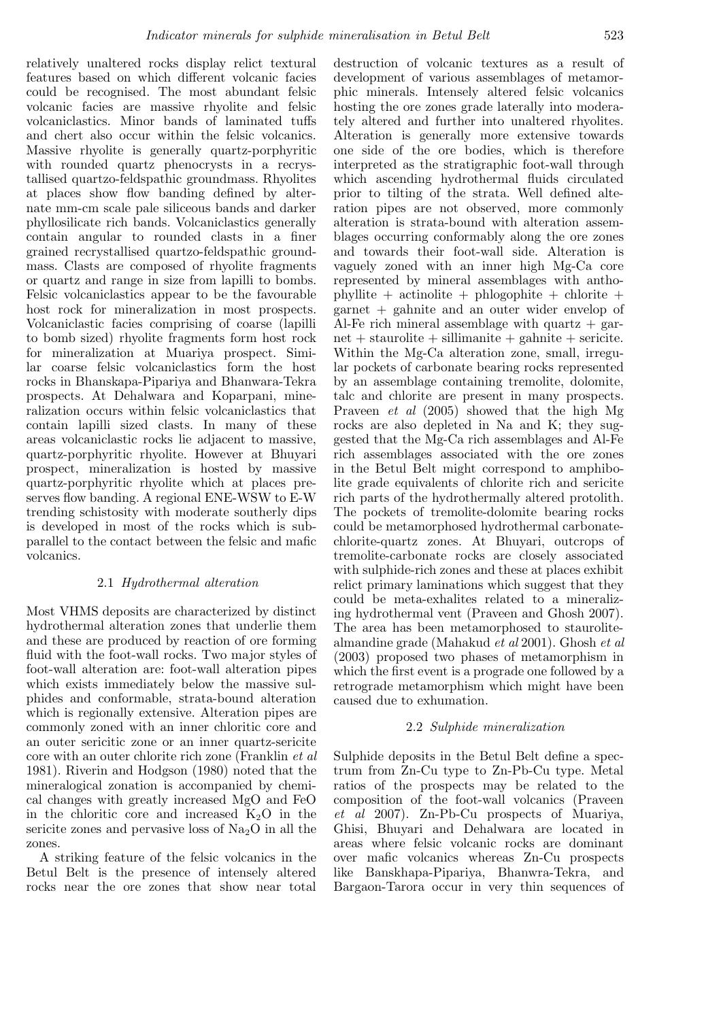relatively unaltered rocks display relict textural features based on which different volcanic facies could be recognised. The most abundant felsic volcanic facies are massive rhyolite and felsic volcaniclastics. Minor bands of laminated tuffs and chert also occur within the felsic volcanics. Massive rhyolite is generally quartz-porphyritic with rounded quartz phenocrysts in a recrystallised quartzo-feldspathic groundmass. Rhyolites at places show flow banding defined by alternate mm-cm scale pale siliceous bands and darker phyllosilicate rich bands. Volcaniclastics generally contain angular to rounded clasts in a finer grained recrystallised quartzo-feldspathic groundmass. Clasts are composed of rhyolite fragments or quartz and range in size from lapilli to bombs. Felsic volcaniclastics appear to be the favourable host rock for mineralization in most prospects. Volcaniclastic facies comprising of coarse (lapilli to bomb sized) rhyolite fragments form host rock for mineralization at Muariya prospect. Similar coarse felsic volcaniclastics form the host rocks in Bhanskapa-Pipariya and Bhanwara-Tekra prospects. At Dehalwara and Koparpani, mineralization occurs within felsic volcaniclastics that contain lapilli sized clasts. In many of these areas volcaniclastic rocks lie adjacent to massive, quartz-porphyritic rhyolite. However at Bhuyari prospect, mineralization is hosted by massive quartz-porphyritic rhyolite which at places preserves flow banding. A regional ENE-WSW to E-W trending schistosity with moderate southerly dips is developed in most of the rocks which is subparallel to the contact between the felsic and mafic volcanics.

# 2.1 *Hydrothermal alteration*

Most VHMS deposits are characterized by distinct hydrothermal alteration zones that underlie them and these are produced by reaction of ore forming fluid with the foot-wall rocks. Two major styles of foot-wall alteration are: foot-wall alteration pipes which exists immediately below the massive sulphides and conformable, strata-bound alteration which is regionally extensive. Alteration pipes are commonly zoned with an inner chloritic core and an outer sericitic zone or an inner quartz-sericite core with an outer chlorite rich zone (Franklin *et al* 1981). Riverin and Hodgson (1980) noted that the mineralogical zonation is accompanied by chemical changes with greatly increased MgO and FeO in the chloritic core and increased  $K_2O$  in the sericite zones and pervasive loss of  $Na<sub>2</sub>O$  in all the zones.

A striking feature of the felsic volcanics in the Betul Belt is the presence of intensely altered rocks near the ore zones that show near total

destruction of volcanic textures as a result of development of various assemblages of metamorphic minerals. Intensely altered felsic volcanics hosting the ore zones grade laterally into moderately altered and further into unaltered rhyolites. Alteration is generally more extensive towards one side of the ore bodies, which is therefore interpreted as the stratigraphic foot-wall through which ascending hydrothermal fluids circulated prior to tilting of the strata. Well defined alteration pipes are not observed, more commonly alteration is strata-bound with alteration assemblages occurring conformably along the ore zones and towards their foot-wall side. Alteration is vaguely zoned with an inner high Mg-Ca core represented by mineral assemblages with anthophyllite  $+$  actinolite  $+$  phlogophite  $+$  chlorite  $+$ garnet + gahnite and an outer wider envelop of Al-Fe rich mineral assemblage with quartz  $+$  gar $net + staurolite + sillimanite + galinite + service.$ Within the Mg-Ca alteration zone, small, irregular pockets of carbonate bearing rocks represented by an assemblage containing tremolite, dolomite, talc and chlorite are present in many prospects. Praveen *et al* (2005) showed that the high Mg rocks are also depleted in Na and K; they suggested that the Mg-Ca rich assemblages and Al-Fe rich assemblages associated with the ore zones in the Betul Belt might correspond to amphibolite grade equivalents of chlorite rich and sericite rich parts of the hydrothermally altered protolith. The pockets of tremolite-dolomite bearing rocks could be metamorphosed hydrothermal carbonatechlorite-quartz zones. At Bhuyari, outcrops of tremolite-carbonate rocks are closely associated with sulphide-rich zones and these at places exhibit relict primary laminations which suggest that they could be meta-exhalites related to a mineralizing hydrothermal vent (Praveen and Ghosh 2007). The area has been metamorphosed to staurolitealmandine grade (Mahakud *et al* 2001). Ghosh *et al* (2003) proposed two phases of metamorphism in which the first event is a prograde one followed by a retrograde metamorphism which might have been caused due to exhumation.

# 2.2 *Sulphide mineralization*

Sulphide deposits in the Betul Belt define a spectrum from Zn-Cu type to Zn-Pb-Cu type. Metal ratios of the prospects may be related to the composition of the foot-wall volcanics (Praveen *et al* 2007). Zn-Pb-Cu prospects of Muariya, Ghisi, Bhuyari and Dehalwara are located in areas where felsic volcanic rocks are dominant over mafic volcanics whereas Zn-Cu prospects like Banskhapa-Pipariya, Bhanwra-Tekra, and Bargaon-Tarora occur in very thin sequences of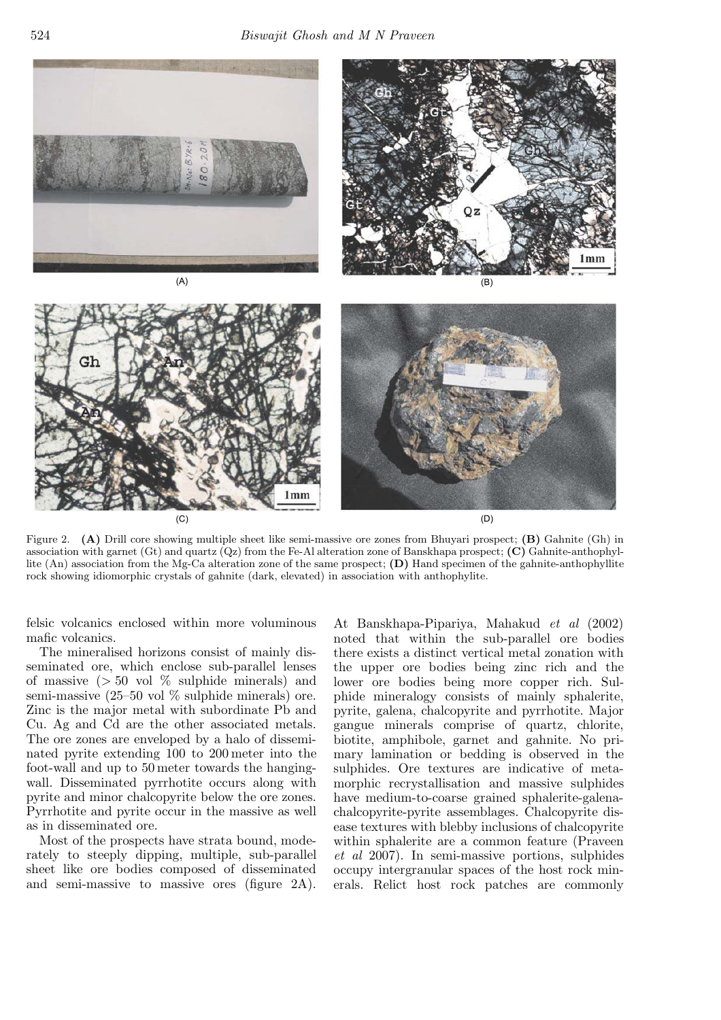

Figure 2. (A) Drill core showing multiple sheet like semi-massive ore zones from Bhuyari prospect; (B) Gahnite (Gh) in association with garnet (Gt) and quartz  $(Qz)$  from the Fe-Al alteration zone of Banskhapa prospect;  $(C)$  Gahnite-anthophyllite (An) association from the Mg-Ca alteration zone of the same prospect; (D) Hand specimen of the gahnite-anthophyllite rock showing idiomorphic crystals of gahnite (dark, elevated) in association with anthophylite.

felsic volcanics enclosed within more voluminous mafic volcanics.

The mineralised horizons consist of mainly disseminated ore, which enclose sub-parallel lenses of massive  $(> 50 \text{ vol } \%)$  sulphide minerals) and semi-massive  $(25-50 \text{ vol } \%$  sulphide minerals) ore. Zinc is the major metal with subordinate Pb and Cu. Ag and Cd are the other associated metals. The ore zones are enveloped by a halo of disseminated pyrite extending 100 to 200 meter into the foot-wall and up to 50 meter towards the hangingwall. Disseminated pyrrhotite occurs along with pyrite and minor chalcopyrite below the ore zones. Pyrrhotite and pyrite occur in the massive as well as in disseminated ore.

Most of the prospects have strata bound, moderately to steeply dipping, multiple, sub-parallel sheet like ore bodies composed of disseminated and semi-massive to massive ores (figure 2A).

At Banskhapa-Pipariya, Mahakud *et al* (2002) noted that within the sub-parallel ore bodies there exists a distinct vertical metal zonation with the upper ore bodies being zinc rich and the lower ore bodies being more copper rich. Sulphide mineralogy consists of mainly sphalerite, pyrite, galena, chalcopyrite and pyrrhotite. Major gangue minerals comprise of quartz, chlorite, biotite, amphibole, garnet and gahnite. No primary lamination or bedding is observed in the sulphides. Ore textures are indicative of metamorphic recrystallisation and massive sulphides have medium-to-coarse grained sphalerite-galenachalcopyrite-pyrite assemblages. Chalcopyrite disease textures with blebby inclusions of chalcopyrite within sphalerite are a common feature (Praveen *et al* 2007). In semi-massive portions, sulphides occupy intergranular spaces of the host rock minerals. Relict host rock patches are commonly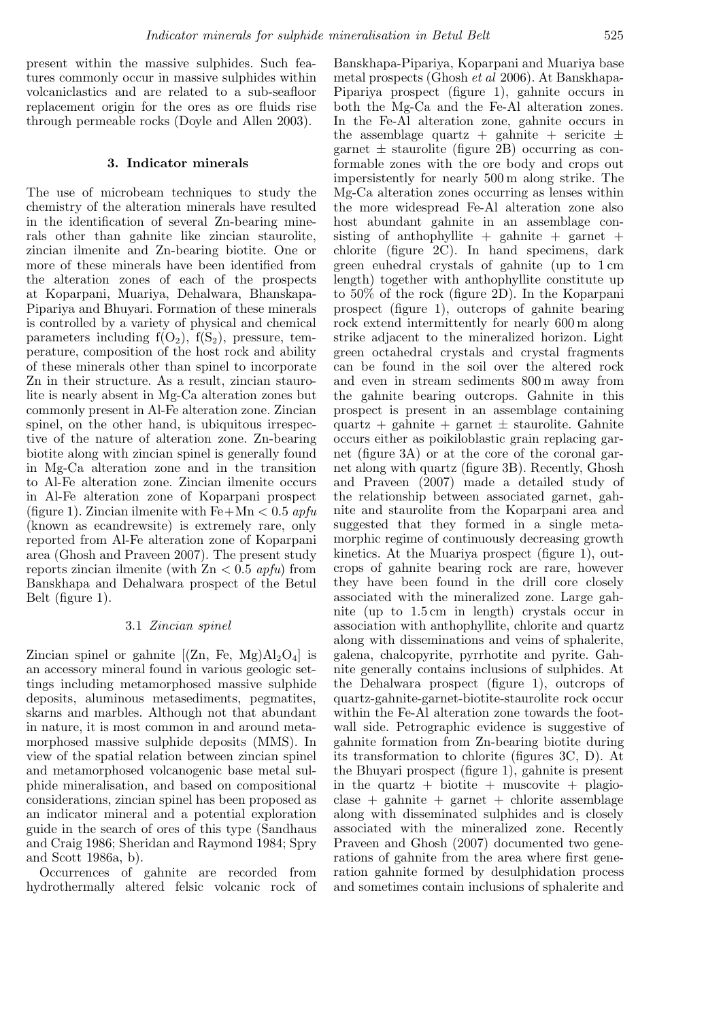present within the massive sulphides. Such features commonly occur in massive sulphides within volcaniclastics and are related to a sub-seafloor replacement origin for the ores as ore fluids rise through permeable rocks (Doyle and Allen 2003).

### 3. Indicator minerals

The use of microbeam techniques to study the chemistry of the alteration minerals have resulted in the identification of several Zn-bearing minerals other than gahnite like zincian staurolite, zincian ilmenite and Zn-bearing biotite. One or more of these minerals have been identified from the alteration zones of each of the prospects at Koparpani, Muariya, Dehalwara, Bhanskapa-Pipariya and Bhuyari. Formation of these minerals is controlled by a variety of physical and chemical parameters including  $f(O_2)$ ,  $f(S_2)$ , pressure, temperature, composition of the host rock and ability of these minerals other than spinel to incorporate Zn in their structure. As a result, zincian staurolite is nearly absent in Mg-Ca alteration zones but commonly present in Al-Fe alteration zone. Zincian spinel, on the other hand, is ubiquitous irrespective of the nature of alteration zone. Zn-bearing biotite along with zincian spinel is generally found in Mg-Ca alteration zone and in the transition to Al-Fe alteration zone. Zincian ilmenite occurs in Al-Fe alteration zone of Koparpani prospect (figure 1). Zincian ilmenite with Fe+Mn < 0.5 *apfu* (known as ecandrewsite) is extremely rare, only reported from Al-Fe alteration zone of Koparpani area (Ghosh and Praveen 2007). The present study reports zincian ilmenite (with Zn < 0.5 *apfu*) from Banskhapa and Dehalwara prospect of the Betul Belt (figure 1).

### 3.1 *Zincian spinel*

Zincian spinel or gahnite  $[(\text{Zn}, \text{Fe}, \text{Mg})\text{Al}_2\text{O}_4]$  is an accessory mineral found in various geologic settings including metamorphosed massive sulphide deposits, aluminous metasediments, pegmatites, skarns and marbles. Although not that abundant in nature, it is most common in and around metamorphosed massive sulphide deposits (MMS). In view of the spatial relation between zincian spinel and metamorphosed volcanogenic base metal sulphide mineralisation, and based on compositional considerations, zincian spinel has been proposed as an indicator mineral and a potential exploration guide in the search of ores of this type (Sandhaus and Craig 1986; Sheridan and Raymond 1984; Spry and Scott 1986a, b).

Occurrences of gahnite are recorded from hydrothermally altered felsic volcanic rock of

Banskhapa-Pipariya, Koparpani and Muariya base metal prospects (Ghosh *et al* 2006). At Banskhapa-Pipariya prospect (figure 1), gahnite occurs in both the Mg-Ca and the Fe-Al alteration zones. In the Fe-Al alteration zone, gahnite occurs in the assemblage quartz + gahnite + sericite  $\pm$ garnet  $\pm$  staurolite (figure 2B) occurring as conformable zones with the ore body and crops out impersistently for nearly 500 m along strike. The Mg-Ca alteration zones occurring as lenses within the more widespread Fe-Al alteration zone also host abundant gahnite in an assemblage consisting of anthophyllite  $+$  gahnite  $+$  garnet  $+$ chlorite (figure 2C). In hand specimens, dark green euhedral crystals of gahnite (up to 1 cm length) together with anthophyllite constitute up to 50% of the rock (figure 2D). In the Koparpani prospect (figure 1), outcrops of gahnite bearing rock extend intermittently for nearly 600 m along strike adjacent to the mineralized horizon. Light green octahedral crystals and crystal fragments can be found in the soil over the altered rock and even in stream sediments 800 m away from the gahnite bearing outcrops. Gahnite in this prospect is present in an assemblage containing quartz + gahnite + garnet  $\pm$  staurolite. Gahnite occurs either as poikiloblastic grain replacing garnet (figure 3A) or at the core of the coronal garnet along with quartz (figure 3B). Recently, Ghosh and Praveen (2007) made a detailed study of the relationship between associated garnet, gahnite and staurolite from the Koparpani area and suggested that they formed in a single metamorphic regime of continuously decreasing growth kinetics. At the Muariya prospect (figure 1), outcrops of gahnite bearing rock are rare, however they have been found in the drill core closely associated with the mineralized zone. Large gahnite (up to 1.5 cm in length) crystals occur in association with anthophyllite, chlorite and quartz along with disseminations and veins of sphalerite, galena, chalcopyrite, pyrrhotite and pyrite. Gahnite generally contains inclusions of sulphides. At the Dehalwara prospect (figure 1), outcrops of quartz-gahnite-garnet-biotite-staurolite rock occur within the Fe-Al alteration zone towards the footwall side. Petrographic evidence is suggestive of gahnite formation from Zn-bearing biotite during its transformation to chlorite (figures 3C, D). At the Bhuyari prospect (figure 1), gahnite is present in the quartz  $+$  biotite  $+$  muscovite  $+$  plagio- $\text{close} + \text{gahnite} + \text{garnet} + \text{chlorite}$  assemblage along with disseminated sulphides and is closely associated with the mineralized zone. Recently Praveen and Ghosh (2007) documented two generations of gahnite from the area where first generation gahnite formed by desulphidation process and sometimes contain inclusions of sphalerite and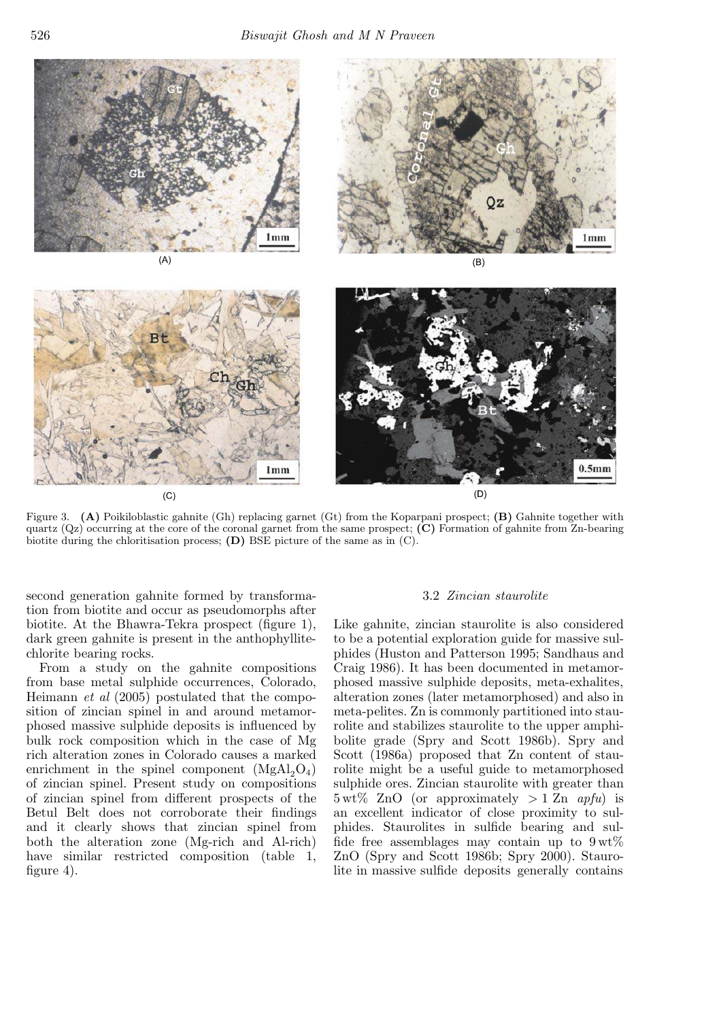

Figure 3. (A) Poikiloblastic gahnite (Gh) replacing garnet (Gt) from the Koparpani prospect; (B) Gahnite together with quartz  $(Qz)$  occurring at the core of the coronal garnet from the same prospect;  $(C)$  Formation of gahnite from Zn-bearing biotite during the chloritisation process;  $(D)$  BSE picture of the same as in  $(C)$ .

second generation gahnite formed by transformation from biotite and occur as pseudomorphs after biotite. At the Bhawra-Tekra prospect (figure 1), dark green gahnite is present in the anthophyllitechlorite bearing rocks.

From a study on the gahnite compositions from base metal sulphide occurrences, Colorado, Heimann *et al* (2005) postulated that the composition of zincian spinel in and around metamorphosed massive sulphide deposits is influenced by bulk rock composition which in the case of Mg rich alteration zones in Colorado causes a marked enrichment in the spinel component  $(MgAl<sub>2</sub>O<sub>4</sub>)$ of zincian spinel. Present study on compositions of zincian spinel from different prospects of the Betul Belt does not corroborate their findings and it clearly shows that zincian spinel from both the alteration zone (Mg-rich and Al-rich) have similar restricted composition (table 1, figure 4).

## 3.2 *Zincian staurolite*

Like gahnite, zincian staurolite is also considered to be a potential exploration guide for massive sulphides (Huston and Patterson 1995; Sandhaus and Craig 1986). It has been documented in metamorphosed massive sulphide deposits, meta-exhalites, alteration zones (later metamorphosed) and also in meta-pelites. Zn is commonly partitioned into staurolite and stabilizes staurolite to the upper amphibolite grade (Spry and Scott 1986b). Spry and Scott (1986a) proposed that Zn content of staurolite might be a useful guide to metamorphosed sulphide ores. Zincian staurolite with greater than 5 wt% ZnO (or approximately > 1 Zn *apfu*) is an excellent indicator of close proximity to sulphides. Staurolites in sulfide bearing and sulfide free assemblages may contain up to  $9 \text{ wt}\%$ ZnO (Spry and Scott 1986b; Spry 2000). Staurolite in massive sulfide deposits generally contains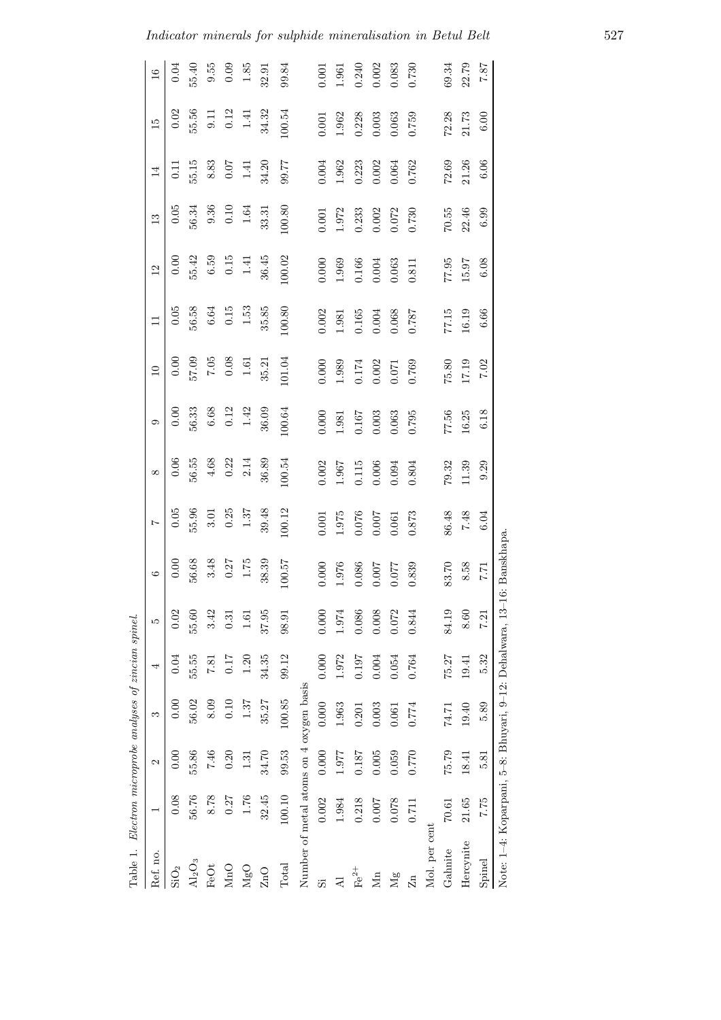|                         | Table 1. Electron microprobe analyses of zincian spinel. |       |        |       |       |                 |                |                                                     |                                                        |                        |                                                        |                           |                                             |                |                                             |               |
|-------------------------|----------------------------------------------------------|-------|--------|-------|-------|-----------------|----------------|-----------------------------------------------------|--------------------------------------------------------|------------------------|--------------------------------------------------------|---------------------------|---------------------------------------------|----------------|---------------------------------------------|---------------|
| Ref. no.                |                                                          | 2     | S      | 4     | S     | $\circ$         | $\overline{z}$ | ${}^{\infty}$                                       | $\circ$                                                | $\Box$                 | $\Box$                                                 | $\overline{\mathfrak{L}}$ | $\mathbf{13}$                               | 14             | 15                                          | $\frac{6}{1}$ |
| SiO <sub>2</sub>        | 0.08                                                     | 0.00  | 0.00   | 0.04  | 0.02  | 0.00            | $0.05$         | 0.06                                                | 0.00                                                   | 0.00                   | 0.05                                                   | 0.00                      | 0.05                                        | $\overline{0}$ | 0.02                                        | 0.04          |
| $\text{Al}_2\text{O}_3$ | 56.76                                                    | 55.86 | 56.02  | 55.55 | 55.60 | 56.68           | 55.96          | 56.55                                               | 56.33                                                  | 57.09                  | 56.58                                                  | 55.42                     | 56.34                                       | 55.15          | 55.56                                       | 55.40         |
| FeOt                    | 8.78                                                     | 7.46  | 8.09   | 7.81  | 3.42  |                 | $3.01\,$       |                                                     | $6.68\,$                                               | $7.05\phantom{00}0.08$ | $6.64\,$                                               | 6.59                      |                                             | 8.83           |                                             | $9.55\,$      |
| MnO                     | 0.27                                                     | 0.20  | 0.10   | 0.17  | 0.31  | $3.48$<br>0.27  | 0.25           | $\begin{array}{c} 4.68 \\ 0.22 \\ 2.14 \end{array}$ | 0.12                                                   |                        | $0.15\,$                                               | $0.15\,$                  | $\begin{array}{c} 9.36 \\ 0.10 \end{array}$ | 0.07           | $\begin{array}{c} 9.11 \\ 0.12 \end{array}$ | 0.09          |
| MgO                     | 1.76                                                     | 1.31  | 1.37   | 1.20  | 1.61  | $1.75\,$        | $1.37$         |                                                     | 1.42                                                   | $1.61\,$               | $1.53\,$                                               | 1.41                      | $1.64\,$                                    | 1.41           | 1.41                                        | 1.85          |
| ZnO                     | 32.45                                                    | 34.70 | 35.27  | 34.35 | 37.95 | 38.39           | 39.48          | 36.89                                               | 36.09                                                  | 35.21                  | 35.85                                                  | $36.45\,$                 | 33.31                                       | 34.20          | 34.32                                       | 32.91         |
| Total                   | 100.10                                                   | 99.53 | 100.85 | 99.12 | 98.91 | 100.57          | 100.12         | 100.54                                              | 100.64                                                 | 101.04                 | 100.80                                                 | 100.02                    | 100.80                                      | 99.77          | 100.54                                      | 99.84         |
|                         | Number of metal atoms on 4 oxygen basis                  |       |        |       |       |                 |                |                                                     |                                                        |                        |                                                        |                           |                                             |                |                                             |               |
| 55                      | 0.002                                                    | 0.000 | 0.000  | 0.000 | 0.000 | 0.000           | $0.001\,$      | $0.002$                                             | $0.000$                                                | $0.000$                | 0.002                                                  | $0.000$                   | $\!0.001$                                   | $\!0.004\!$    | $0.001$                                     | 0.001         |
| 궄                       | 1.984                                                    | 1.977 | 1.963  | 1.972 | 1.974 | 1.976           | 1.975          | 1.967                                               | 1.981                                                  | 1.989                  | $1.981\,$                                              | 1.969                     | 1.972                                       | 1.962          | 1.962                                       | 1.961         |
| $Fe2+$                  | 0.218                                                    | 0.187 | 0.201  | 0.197 | 0.086 | 0.086           | 0.076          | 0.115                                               | $\begin{array}{c} 0.167 \\ 0.003 \\ 0.063 \end{array}$ | 0.174                  |                                                        | 0.166                     | 0.233                                       | 0.223          | 0.228                                       | 0.240         |
| Mn                      | 0.007                                                    | 0.005 | 0.003  | 0.004 | 0.008 | 0.007           | 0.007          | $0.006\,$                                           |                                                        | $0.002$<br>$0.071$     | $\begin{array}{c} 0.165 \\ 0.004 \\ 0.068 \end{array}$ | 0.004                     | 0.002                                       | 0.002          | 0.003                                       | 0.002         |
| $\mathbb{N}$ g          | 0.078                                                    | 0.059 | 0.061  | 0.054 | 0.072 | 0.077           | 0.061          | 0.094                                               |                                                        |                        |                                                        | 0.063                     | 0.072                                       | 0.064          | 0.063                                       | 0.083         |
| Zn                      | 0.711                                                    | 0.770 | 0.774  | 0.764 | 0.844 | 0.839           | 0.873          | 0.804                                               | 0.795                                                  | 0.769                  | 0.787                                                  | 0.811                     | 0.730                                       | 0.762          | 0.759                                       | 0.730         |
| Mol. per cent           |                                                          |       |        |       |       |                 |                |                                                     |                                                        |                        |                                                        |                           |                                             |                |                                             |               |
| Gahnite                 | 70.61                                                    | 75.79 | 74.71  | 75.27 | 84.19 | 83.70           | 86.48          | 79.32                                               | 77.56                                                  | 75.80                  | 77.15                                                  | 77.95                     | 70.55                                       | 72.69          | 72.28                                       | 69.34         |
| Hercynite               | 21.65                                                    | 18.41 | 19.40  | 19.41 | 8.60  | $8.58\,$        | 7.48           | 11.39                                               | $16.25\,$                                              | 17.19                  | 16.19                                                  | 15.97                     | 22.46                                       | 21.26          | 21.73                                       | 22.79         |
| Spinel                  | 7.75                                                     | 5.81  | 5.89   | 5.32  | 7.21  | 1.7             | 6.04           | 9.29                                                | 6.18                                                   | 7.02                   | 6.66                                                   | 6.08                      | 6.99                                        | 6.06           | $6.00$                                      | 7.87          |
|                         | Note: 1–4: Koparpani, 5–8: Bhuyari, 9–12: Dehalwara, 13  |       |        |       |       | -16: Banskhapa. |                |                                                     |                                                        |                        |                                                        |                           |                                             |                |                                             |               |

*Indicator minerals for sulphide mineralisation in Betul Belt* 527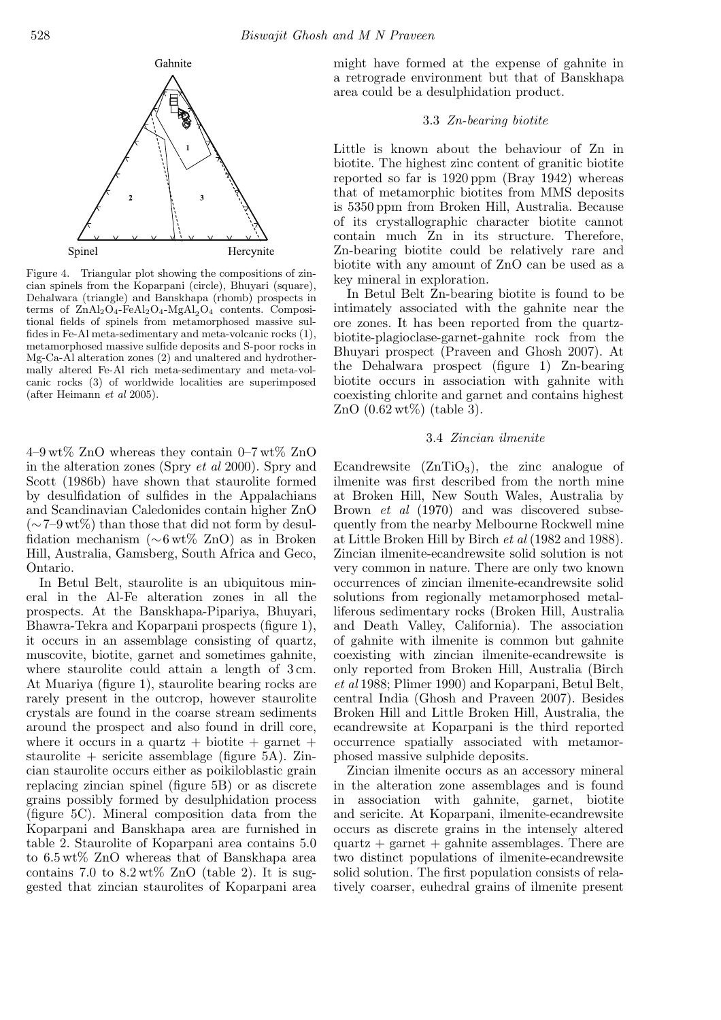

Figure 4. Triangular plot showing the compositions of zincian spinels from the Koparpani (circle), Bhuyari (square), Dehalwara (triangle) and Banskhapa (rhomb) prospects in terms of  $\text{ZnAl}_2\text{O}_4$ -FeAl<sub>2</sub>O<sub>4</sub>-MgAl<sub>2</sub>O<sub>4</sub> contents. Compositional fields of spinels from metamorphosed massive sulfides in Fe-Al meta-sedimentary and meta-volcanic rocks (1), metamorphosed massive sulfide deposits and S-poor rocks in Mg-Ca-Al alteration zones (2) and unaltered and hydrothermally altered Fe-Al rich meta-sedimentary and meta-volcanic rocks (3) of worldwide localities are superimposed (after Heimann *et al* 2005).

 $4-9 \text{ wt\% ZnO}$  whereas they contain  $0-7 \text{ wt\% ZnO}$ in the alteration zones (Spry *et al* 2000). Spry and Scott (1986b) have shown that staurolite formed by desulfidation of sulfides in the Appalachians and Scandinavian Caledonides contain higher ZnO  $({\sim}7-9 \text{ wt})$  than those that did not form by desulfidation mechanism (∼6 wt% ZnO) as in Broken Hill, Australia, Gamsberg, South Africa and Geco, Ontario.

In Betul Belt, staurolite is an ubiquitous mineral in the Al-Fe alteration zones in all the prospects. At the Banskhapa-Pipariya, Bhuyari, Bhawra-Tekra and Koparpani prospects (figure 1), it occurs in an assemblage consisting of quartz, muscovite, biotite, garnet and sometimes gahnite, where staurolite could attain a length of 3 cm. At Muariya (figure 1), staurolite bearing rocks are rarely present in the outcrop, however staurolite crystals are found in the coarse stream sediments around the prospect and also found in drill core, where it occurs in a quartz + biotite + garnet + staurolite + sericite assemblage (figure  $5A$ ). Zincian staurolite occurs either as poikiloblastic grain replacing zincian spinel (figure 5B) or as discrete grains possibly formed by desulphidation process (figure 5C). Mineral composition data from the Koparpani and Banskhapa area are furnished in table 2. Staurolite of Koparpani area contains 5.0 to 6.5 wt% ZnO whereas that of Banskhapa area contains 7.0 to  $8.2 \text{ wt\%}$  ZnO (table 2). It is suggested that zincian staurolites of Koparpani area might have formed at the expense of gahnite in a retrograde environment but that of Banskhapa area could be a desulphidation product.

# 3.3 *Zn-bearing biotite*

Little is known about the behaviour of Zn in biotite. The highest zinc content of granitic biotite reported so far is 1920 ppm (Bray 1942) whereas that of metamorphic biotites from MMS deposits is 5350 ppm from Broken Hill, Australia. Because of its crystallographic character biotite cannot contain much Zn in its structure. Therefore, Zn-bearing biotite could be relatively rare and biotite with any amount of ZnO can be used as a key mineral in exploration.

In Betul Belt Zn-bearing biotite is found to be intimately associated with the gahnite near the ore zones. It has been reported from the quartzbiotite-plagioclase-garnet-gahnite rock from the Bhuyari prospect (Praveen and Ghosh 2007). At the Dehalwara prospect (figure 1) Zn-bearing biotite occurs in association with gahnite with coexisting chlorite and garnet and contains highest  $ZnO(0.62 \text{ wt})$  (table 3).

#### 3.4 *Zincian ilmenite*

Ecandrewsite  $(ZnTiO<sub>3</sub>)$ , the zinc analogue of ilmenite was first described from the north mine at Broken Hill, New South Wales, Australia by Brown *et al* (1970) and was discovered subsequently from the nearby Melbourne Rockwell mine at Little Broken Hill by Birch *et al* (1982 and 1988). Zincian ilmenite-ecandrewsite solid solution is not very common in nature. There are only two known occurrences of zincian ilmenite-ecandrewsite solid solutions from regionally metamorphosed metalliferous sedimentary rocks (Broken Hill, Australia and Death Valley, California). The association of gahnite with ilmenite is common but gahnite coexisting with zincian ilmenite-ecandrewsite is only reported from Broken Hill, Australia (Birch *et al* 1988; Plimer 1990) and Koparpani, Betul Belt, central India (Ghosh and Praveen 2007). Besides Broken Hill and Little Broken Hill, Australia, the ecandrewsite at Koparpani is the third reported occurrence spatially associated with metamorphosed massive sulphide deposits.

Zincian ilmenite occurs as an accessory mineral in the alteration zone assemblages and is found in association with gahnite, garnet, biotite and sericite. At Koparpani, ilmenite-ecandrewsite occurs as discrete grains in the intensely altered  $quartz + garnet + ganinite$  assemblages. There are two distinct populations of ilmenite-ecandrewsite solid solution. The first population consists of relatively coarser, euhedral grains of ilmenite present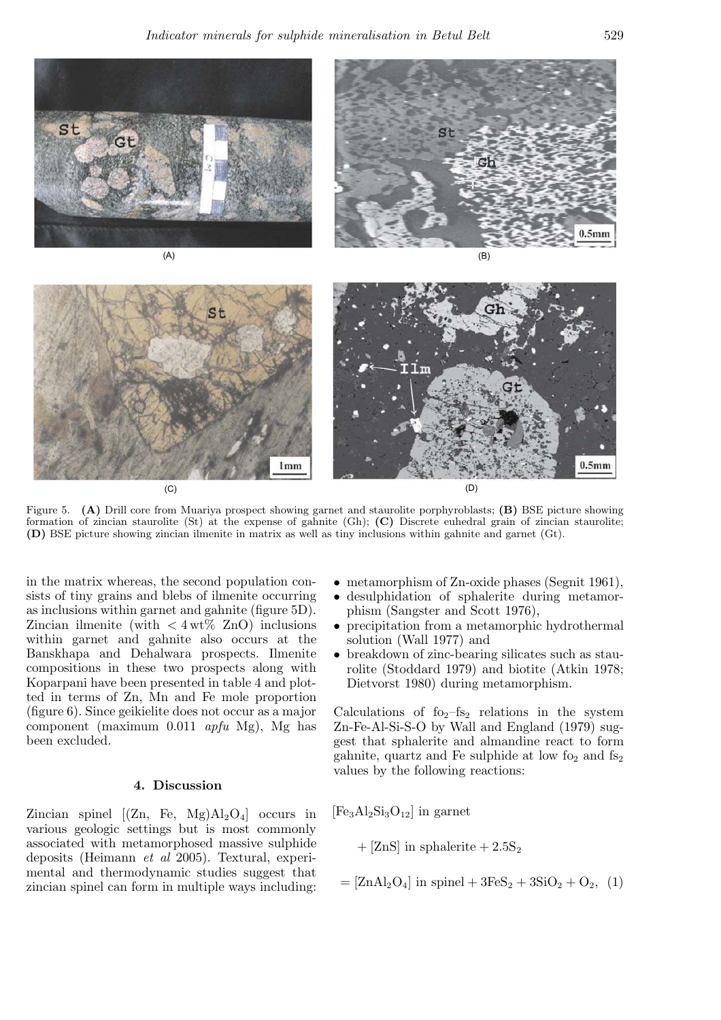

Figure 5. (A) Drill core from Muariya prospect showing garnet and staurolite porphyroblasts; (B) BSE picture showing formation of zincian staurolite (St) at the expense of gahnite (Gh); (C) Discrete euhedral grain of zincian staurolite; (D) BSE picture showing zincian ilmenite in matrix as well as tiny inclusions within gahnite and garnet (Gt).

in the matrix whereas, the second population consists of tiny grains and blebs of ilmenite occurring as inclusions within garnet and gahnite (figure 5D). Zincian ilmenite (with  $\langle 4 \text{wt} \rangle$  ZnO) inclusions within garnet and gahnite also occurs at the Banskhapa and Dehalwara prospects. Ilmenite compositions in these two prospects along with Koparpani have been presented in table 4 and plotted in terms of Zn, Mn and Fe mole proportion (figure 6). Since geikielite does not occur as a major component (maximum 0.011 *apfu* Mg), Mg has been excluded.

## 4. Discussion

Zincian spinel  $[(\text{Zn}, \text{Fe}, \text{Mg})\text{Al}_2\text{O}_4]$  occurs in various geologic settings but is most commonly associated with metamorphosed massive sulphide deposits (Heimann *et al* 2005). Textural, experimental and thermodynamic studies suggest that zincian spinel can form in multiple ways including:

- metamorphism of Zn-oxide phases (Segnit 1961),
- desulphidation of sphalerite during metamorphism (Sangster and Scott 1976),
- precipitation from a metamorphic hydrothermal solution (Wall 1977) and
- breakdown of zinc-bearing silicates such as staurolite (Stoddard 1979) and biotite (Atkin 1978; Dietvorst 1980) during metamorphism.

Calculations of  $f_{\text{O}_2}$ –fs<sub>2</sub> relations in the system Zn-Fe-Al-Si-S-O by Wall and England (1979) suggest that sphalerite and almandine react to form gahnite, quartz and Fe sulphide at low  $f_{2}$  and  $f_{2}$ values by the following reactions:

 $[Fe<sub>3</sub>Al<sub>2</sub>Si<sub>3</sub>O<sub>12</sub>]$  in garnet

+ [ZnS] in sphalerite +  $2.5S_2$ 

$$
= [ZnAl2O4] in spinel + 3FeS2 + 3SiO2 + O2, (1)
$$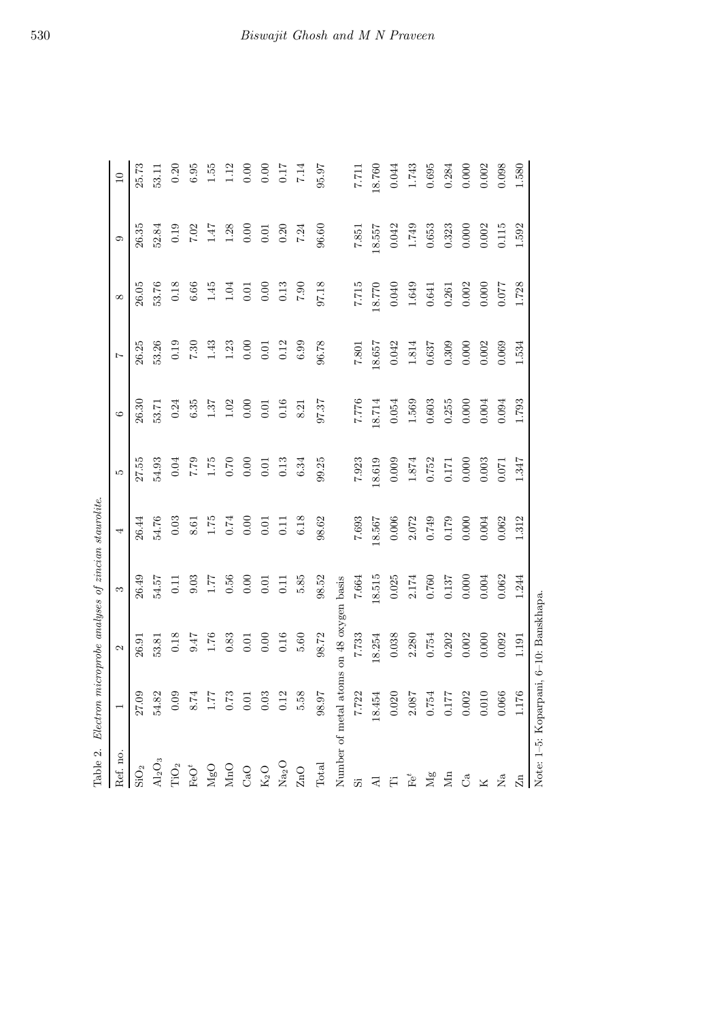| Table 2.         | Electron                                                       | $microprobe$ analyses of zincian staurolite. |                      |                                                     |                                                        |                            |                |            |           |                 |
|------------------|----------------------------------------------------------------|----------------------------------------------|----------------------|-----------------------------------------------------|--------------------------------------------------------|----------------------------|----------------|------------|-----------|-----------------|
| Ref. no.         |                                                                | $\mathcal{C}$                                | S                    | 4                                                   | LC.                                                    | $\circ$                    | $\overline{z}$ | $\infty$   | ာ         | $\overline{10}$ |
| $\mathrm{SiO}_2$ | 27.09                                                          | 26.91                                        | 26.49                | 26.44                                               | 27.55                                                  | 26.30                      | 26.25          | 26.05      | 26.35     | 25.73           |
| $\rm Al_2O_3$    | 54.82                                                          | 53.81                                        | 54.57                | 54.76                                               | 54.93                                                  | 53.71                      | 53.26          | 53.76      | 52.84     | 53.11           |
| $\rm TiO_2$      |                                                                | $0.18\,$                                     | 0.11                 | $0.03\,$                                            | $0.04$                                                 | 0.24                       | $0.19\,$       | $0.18\,$   | 0.19      | 0.20            |
| ${\rm FeO}^t$    | $\begin{array}{c} 10.0 \\ 8.74 \\ 1.75 \\ 60.0 \\ \end{array}$ | 9.47                                         | 9.03                 |                                                     |                                                        | $6.35\,$                   | $7.30\,$       | $6.66\,$   | 7.02      | $6.95\,$        |
| $_{\rm MgO}$     |                                                                | $1.76\,$                                     |                      |                                                     |                                                        |                            | $1.43\,$       | 1.45       | $1.47$    | 1.55            |
| $\rm MnO$        |                                                                | $0.83\,$                                     | $1.77\phantom{00}56$ | $\begin{array}{c} 8.61 \\ 1.75 \\ 0.74 \end{array}$ | $\begin{array}{c} 0.00 \\ 0.7 \\ 0.7 \\ 0 \end{array}$ | $1.37$<br>$1.02$<br>$0.00$ | 1.23           | $1.04$     | $1.28$    | $1.12$          |
| CaO              |                                                                | 0.01                                         | $0.00$               |                                                     |                                                        |                            | 0.00           | $0.01\,$   | $0.00\,$  | $0.00\,$        |
| $\rm K_2O$       | $\!0.03\!$                                                     | $0.00$                                       | 0.01                 | 0.01                                                | 0.01                                                   | 0.01                       | 0.01           | 0.00       | $0.01\,$  | 0.00            |
| $\rm Na_2O$      | $\rm 0.12$                                                     | $0.16\,$                                     | 0.11                 | 0.11                                                | $\rm 0.13$                                             | $0.16\,$                   | $0.12\,$       | $\rm 0.13$ | 0.20      | $0.17\,$        |
| $\rm ZnO$        | 5.58                                                           | $5.60\,$                                     | 5.85                 | $6.18\,$                                            | $6.34\,$                                               | $\,$ 8.21 $\,$             | $6.99\,$       | $7.90\,$   | 7.24      | 7.14            |
| Total            | <b>16.86</b>                                                   | $98.72\,$                                    | 98.52                | 98.62                                               | 99.25                                                  | 97.37                      | $96.78$        | 97.18      | 96.60     | 95.97           |
| Number of metal  |                                                                | atoms on 48 oxygen basis                     |                      |                                                     |                                                        |                            |                |            |           |                 |
| $\ddot{\varpi}$  |                                                                | 7.733                                        | 7.664                | 7.693                                               | 7.923                                                  | 7.776                      | $7.801\,$      | 7.715      | $7.851\,$ | $7.71$          |
| $\overline{A}$   | 7.722<br>18.454                                                | 18.254                                       | 18.515               | 18.567                                              | 18.619                                                 | $18.714\,$                 | 18.657         | 18.770     | 18.557    | 18.760          |
|                  |                                                                | 0.038                                        | 0.025                | $0.006\,$                                           | 0.009                                                  | 0.054                      | 0.042          | 0.040      | 0.042     | 0.044           |
| $\mathrm{Fe}^t$  | $\begin{array}{c} 0.020 \\ 2.087 \\ 0.754 \end{array}$         | 2.280                                        | 2.174                | 2.072                                               | $1.874\,$                                              | 1.569                      | $1.814\,$      | $1.649\,$  | 1.749     | 1.743           |
| $\rm Mg$         |                                                                | 0.754                                        | 0.760                | 0.749                                               | 0.752                                                  | 0.603                      | 0.637          | $\!0.641$  | 0.653     | 0.695           |
| Mn               | $\begin{array}{c} 0.177 \\ 0.002 \end{array}$                  | 0.202                                        | 0.137                | 0.179                                               | 0.171                                                  | 0.255                      | 0.309          | $\!0.261$  | 0.323     | 0.284           |
| ්                |                                                                | $0.002\,$                                    | $0.000$              | 0.000                                               | $0.000\,$                                              | 0.000                      | 0.000          | 0.002      | 0.000     | 0.000           |
| K                | $0.010\,$                                                      | $0.000\,$                                    | $\!0.004\!$          | $\!0.004\!$                                         | $\!0.003\!$                                            | $0.004\,$                  | 0.002          | 0.000      | 0.002     | $0.002\,$       |
| Å                | 0.066                                                          | 0.092                                        | 0.062                | 0.062                                               | $0.071\,$                                              | 0.094                      | 0.069          | 770.0      | $0.115\,$ | 0.098           |
| Zn               | 1.176                                                          | 1.191                                        | 1.244                | 1.312                                               | 1.347                                                  | 1.793                      | 1.534          | 1.728      | 1.592     | $1.580\,$       |
|                  | Note: 1-5: Koparpani, 6-10: Banskhapa.                         |                                              |                      |                                                     |                                                        |                            |                |            |           |                 |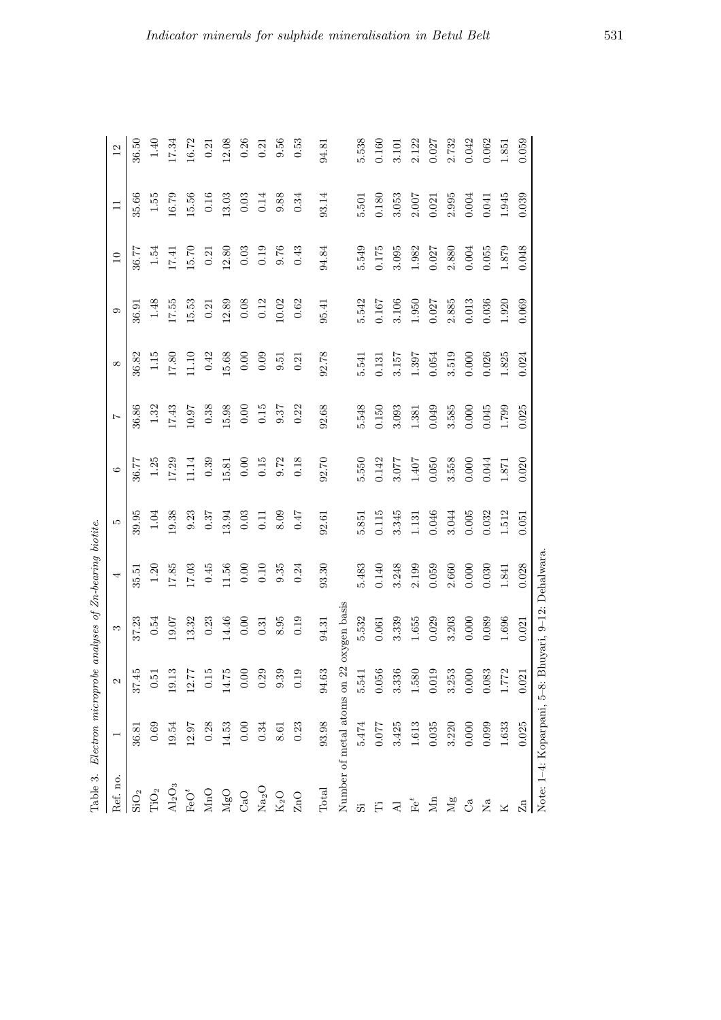| Table 3.          |                            |                                  |                           | Electron microprobe analyses of Zn-bearing biotite. |           |           |          |            |          |                 |             |          |
|-------------------|----------------------------|----------------------------------|---------------------------|-----------------------------------------------------|-----------|-----------|----------|------------|----------|-----------------|-------------|----------|
| Ref. no.          | $\overline{ }$             | 2                                | S                         | 4                                                   | īΟ        | ం         | Ņ        | $^{\circ}$ | ာ        | $\overline{10}$ | $\Box$      | $^{12}$  |
| $\rm SiO_2$       | 36.81                      | 37.45                            | 37.23                     | 35.51                                               | 39.95     | 36.77     | 36.86    | 36.82      | 36.91    | 36.77           | 35.66       | 36.50    |
| TiO <sub>2</sub>  | 0.69                       | 0.51                             | 0.54                      | 1.20                                                | 1.04      | $1.25\,$  | 1.32     | 1.15       | $1.48\,$ | 1.54            | 1.55        | 1.40     |
| $Al_2O_3$         | 19.54                      | 13<br>₫                          | 19.07                     | 17.85                                               | 19.38     | 17.29     | 17.43    | 17.80      | 17.55    | 17.41           | 16.79       | 17.34    |
| $\mathrm{FeO}^t$  | 12.97                      | 77<br>$\overline{q}$             | 13.32                     | 17.03                                               | 9.23      | $11.14\,$ | 10.97    | 11.10      | 15.53    | 15.70           | 15.56       | 16.72    |
| MnO               | 0.28                       | $\frac{15}{2}$<br>ö              | 0.23                      | 0.45                                                | 0.37      | 0.39      | $0.38\,$ | 0.42       | 0.21     | 0.21            | $0.16\,$    | 0.21     |
| MgO               | 14.53                      | $\mathbb{Z}$<br>$\exists$        | 14.46                     | $11.56\,$                                           | 13.94     | 15.81     | 15.98    | 15.68      | 12.89    | 12.80           | 13.03       | 12.08    |
| CaO               | 0.00                       | $0.00\,$                         | 0.00                      | 0.00                                                | $0.03\,$  | 0.00      | 0.00     | 0.00       | $0.08\,$ | $0.03\,$        | $0.03\,$    | 0.26     |
| Na <sub>2</sub> O | $0.34\,$                   | 0.29                             | 0.31                      | $0.10\,$                                            | 0.11      | $0.15\,$  | $0.15\,$ | 0.09       | 0.12     | 0.19            | 0.14        | 0.21     |
| $K_2O$            | 8.61                       | 9.39                             | 8.95                      | 9.35                                                | 8.09      | $9.72\,$  | 9.37     | 0.51       | 10.02    | 9.76            | 9.88        | $9.56\,$ |
| ZnO               | 0.23                       | 19<br>$\dot{\circ}$              | 0.19                      | 0.24                                                | 0.47      | 0.18      | 0.22     | 0.21       | 0.62     | $0.43\,$        | 0.34        | 0.53     |
| Total             | 93.98                      | 94.63                            | 94.31                     | 93.30                                               | 92.61     | 92.70     | 92.68    | 92.78      | 95.41    | 94.84           | 93.14       | 94.81    |
|                   | Number of metal atoms on   | 22                               | oxygen basis              |                                                     |           |           |          |            |          |                 |             |          |
| 55                | 5.474                      | 5.541                            | 5.532                     | 5.483                                               | 5.851     | 5.550     | 5.548    | 5.541      | 5.542    | 5.549           | $5.501\,$   | 5.538    |
|                   | 0.077                      | 56<br>$\ddot{\circ}$             | $0.061\,$                 | $0.140\,$                                           | $0.115\,$ | 0.142     | 0.150    | 0.131      | 0.167    | 0.175           | 0.180       | 0.160    |
| ব                 | 3.425                      | 36<br>$3.\overline{3}$           | 3.339                     | $3.248$                                             | 3.345     | 3.077     | 3.093    | 3.157      | 3.106    | 3.095           | 3.053       | 3.101    |
| $\mathbf{F}^t$    | 1.613                      | $80\,$<br>$\frac{1}{1}$          | 1.655                     | 2.199                                               | 1.131     | $1.407$   | 1.381    | 1.397      | 1.950    | 1.982           | $2.007$     | 2.122    |
| Σя                | 0.035                      | 19<br>0.0                        | 0.029                     | 0.059                                               | 0.046     | 0.050     | 0.049    | 0.054      | 0.027    | 0.027           | 0.021       | 0.027    |
| Mg                | 3.220                      | 3.253                            | 3.203                     | 2.660                                               | 3.044     | 3.558     | 3.585    | 3.519      | 2.885    | 2.880           | 2.995       | 2.732    |
| ೆ                 | 0.000                      | 0.000                            | 0.000                     | 0.000                                               | $0.005\,$ | $0.000$   | 0.000    | 0.000      | 0.013    | 0.004           | $\!0.004\!$ | 0.042    |
| Κa                | 0.099                      | 83<br>$\ddot{\rm o}$             | 0.089                     | 0.030                                               | 0.032     | 0.044     | 0.045    | 0.026      | 0.036    | 0.055           | 0.041       | 0.062    |
| ×                 | 1.633                      | 72<br>$\frac{7}{11}$             | $1.696\,$                 | 1.841                                               | 1.512     | 1.871     | 1.799    | 1.825      | 1.920    | 1.879           | 1.945       | 1.851    |
| $\mathbb{Z}^n$    | 0.025                      | $\overline{21}$<br>$\frac{5}{2}$ | 0.021                     | 0.028                                               | 0.051     | 0.020     | 0.025    | 0.024      | 0.069    | 0.048           | 0.039       | 0.059    |
|                   | Note: 1-4: Koparpani, 5-8: |                                  | Bhuyari, 9–12: Dehalwara. |                                                     |           |           |          |            |          |                 |             |          |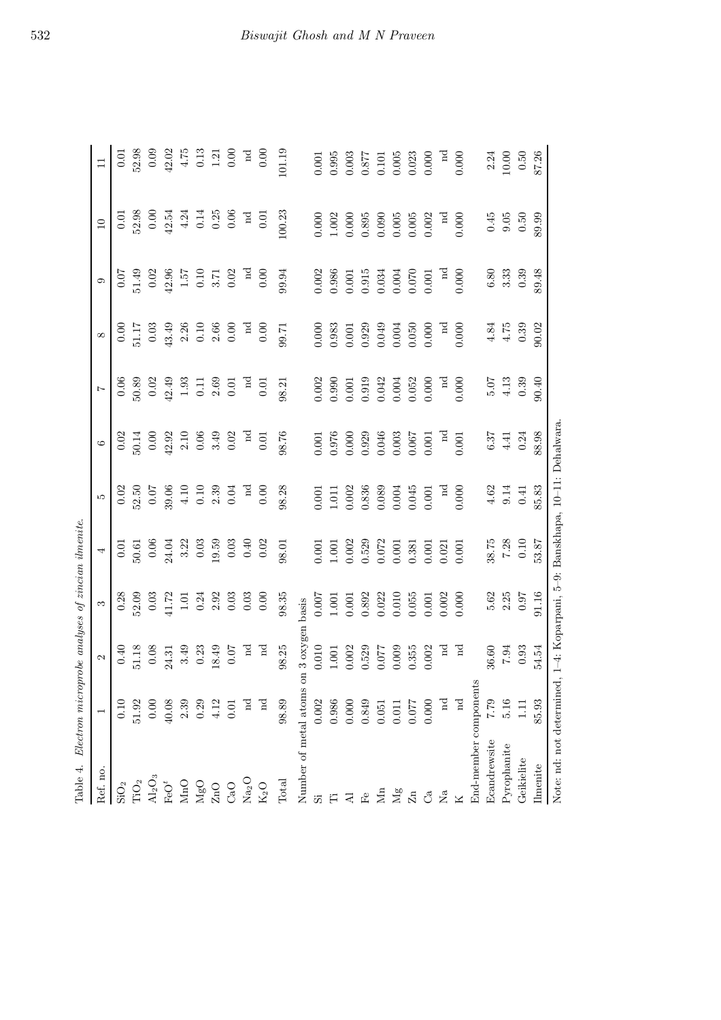| Table 4.                                                                    | Electron microprobe analyses of zincian ilmenite. |                                  |          |                                             |             |                |                                             |                       |                                  |                    |             |
|-----------------------------------------------------------------------------|---------------------------------------------------|----------------------------------|----------|---------------------------------------------|-------------|----------------|---------------------------------------------|-----------------------|----------------------------------|--------------------|-------------|
| Ref. no.                                                                    |                                                   | 2                                | S        | 4                                           | r.          | $\circ$        | $\overline{1}$                              | $\infty$              | C)                               | $\overline{10}$    | $\Box$      |
| $\mathrm{SiO}_2$                                                            | 0.10                                              | 0.40                             | 0.28     | 0.01                                        | 0.02        | 0.02           |                                             | 0.00                  | 0.07                             | 0.01               | 0.01        |
| $\rm TiO_2$                                                                 | 51.92                                             | 51.18                            | 52.09    | 50.61                                       | 52.50       | 50.14          | $\frac{0.06}{50.89}$                        | 51.17                 | 51.49                            | 52.98              | 52.98       |
| $\rm Al_2O_3$                                                               | $0.00\,$                                          | $0.08\,$                         | 0.03     | $0.06$<br>24.04                             | 70.0        | 0.00           | 0.02                                        | 0.03                  | 0.02                             | 0.00               | 0.09        |
| $\mathrm{FeO}^t$                                                            | 40.08                                             | 24.31                            | 41.72    |                                             | 39.06       | 42.92          | 42.49                                       | 43.49                 | 42.96                            | 42.54              | 42.02       |
| $\rm MnO$                                                                   | 2.39                                              | 3.49                             | $1.01\,$ |                                             | $4.10$      |                |                                             |                       |                                  | 4.24               | 4.75        |
| $_{\rm MgO}$                                                                | 0.29                                              | 0.23                             | 0.24     | $\frac{3.22}{0.03}$                         | $0.10\,$    | $2.10$ $0.06$  | $\begin{array}{c} 1.93 \\ 0.11 \end{array}$ | $2.26$ $0.10$         | $1.57\phantom{0}\phantom{0}0.10$ | 0.14               | $\!0.13$    |
| $\rm ZnO$                                                                   | 4.12                                              | 18.49                            | 2.92     | 19.59                                       | 2.39        | 3.49           | 2.69                                        |                       | $3.71$<br>0.02                   | 0.25               | 1.21        |
| CaO                                                                         | 0.01                                              | <b>10.0</b>                      | 0.03     |                                             | 0.04        | 0.02           | $0.01\,$                                    | $2.66\phantom{0}0.00$ |                                  | 0.06               | 0.00        |
| Na <sub>2</sub> O                                                           | пd                                                | $_{\rm nd}$                      | 0.03     | $\begin{array}{c} 0.03 \\ 0.40 \end{array}$ | $_{\rm nd}$ | $\overline{a}$ | $_{\rm nd}$                                 | $_{\rm nd}$           | $_{\rm nd}$                      | $_{\rm nd}$        | $_{\rm nd}$ |
| $\rm K_2O$                                                                  | $\operatorname*{rd}$                              | $_{\rm nd}$                      | 0.00     | 0.02                                        | 0.00        | 0.01           | $0.01\,$                                    | 0.00                  | 0.00                             | 0.01               | 0.00        |
| Total                                                                       | 98.89                                             | 98.25                            | 98.35    | $98.01\,$                                   | 98.28       | 98.76          | 98.21                                       | 99.71                 | 99.94                            | 100.23             | 101.19      |
| Number of metal atoms                                                       |                                                   | 3 oxygen basis<br>$\overline{5}$ |          |                                             |             |                |                                             |                       |                                  |                    |             |
| $\ddot{\Omega}$                                                             | $0.002\,$                                         | 0.010                            | 0.007    | $0.001$                                     | 0.001       | 0.001          | 0.002                                       | 0.000                 | 0.002                            | 0.000              | $0.001\,$   |
| Ë                                                                           | 0.986                                             | $1.001\,$                        | 1.001    | $1.001$<br>$0.002$                          | $1.011\,$   | 0.976          | 0.990                                       | 0.983                 | 0.986                            | 1.002              | 0.995       |
| 국                                                                           | $0.000\,$                                         | 0.002                            | 0.001    |                                             | 0.002       | 0.000          | 0.001                                       | 0.001                 | $0.001\,$                        | 0.000              | 0.003       |
| $\mathbb{E}^{\mathbb{O}}$                                                   | 0.849                                             | 0.529                            | 0.892    | 0.529                                       | 0.836       | 0.929          | 0.919                                       | 0.929                 | 0.915                            | 0.895              | 0.877       |
| Я                                                                           | 0.051                                             | 770.0                            | 0.022    | $0.072$<br>$0.001$                          | 0.089       | 0.046          | 0.042                                       | 0.049                 | 0.034                            | 0.090              | 0.101       |
| $\mathbb{N}_g$                                                              | 0.011                                             | 0.009                            | 0.010    |                                             | 0.004       | 0.003          | 0.004                                       | 0.004                 | 0.004                            | 0.005              | 0.005       |
| $\rm Zn$                                                                    | 0.077                                             | 0.355                            | 0.055    | 0.381                                       | 0.045       | 0.067          | 0.052                                       | 0.050                 | 0.070                            | $0.005$<br>$0.002$ | 0.023       |
| ී                                                                           | 0.000                                             | 0.002                            | 0.001    | $0.001\,$                                   | $0.001\,$   | 0.001          | 0.000                                       | 0.000                 | $0.001\,$                        |                    | 0.000       |
| Σã                                                                          | $_{\rm nd}$                                       | $_{\rm nd}$                      | 0.002    | 0.021                                       | $_{\rm nd}$ | $_{\rm nd}$    | $_{\rm nd}$                                 | $_{\rm nd}$           | $_{\rm nd}$                      | $_{\rm nd}$        | $_{\rm nd}$ |
|                                                                             | $_{\rm nd}$                                       | $_{\rm nd}$                      | 0.000    | $0.001\,$                                   | $0.000$     | $0.001\,$      | 0.000                                       | 0.000                 | 0.000                            | 0.000              | 0.000       |
| End-member component                                                        |                                                   |                                  |          |                                             |             |                |                                             |                       |                                  |                    |             |
| Ecandrewsite                                                                | <b>62.2</b>                                       | 36.60                            | 5.62     | 38.75                                       | 4.62        | 6.37           |                                             | 4.84                  |                                  | 0.45               | 2.24        |
| Pyrophanite                                                                 | 5.16                                              | $7.94\,$                         | 2.25     | $7.28$ $0.10$                               | $9.14\,$    | 4.41           | $\begin{array}{c} 5.07 \\ 4.13 \end{array}$ | 4.75                  | $6.80\phantom{0}3.33$            | 9.05               | $10.00\,$   |
| Geikielite                                                                  | Ξ                                                 | 0.93                             | 0.97     |                                             | $0.41\,$    | 0.24           | 0.39                                        | 0.39                  | 0.39                             | 0.50               | $0.50\,$    |
| <b>Ilmenite</b>                                                             | 85.93                                             | 54.54                            | 91.16    | 53.87                                       | 85.83       | 88.98          | 90.40                                       | 90.02                 | 89.48                            | 89.99              | 87.26       |
| Note: nd: not determined, 1-4: Koparpani, 5-9: Banskhapa, 10-11: Dehalwara. |                                                   |                                  |          |                                             |             |                |                                             |                       |                                  |                    |             |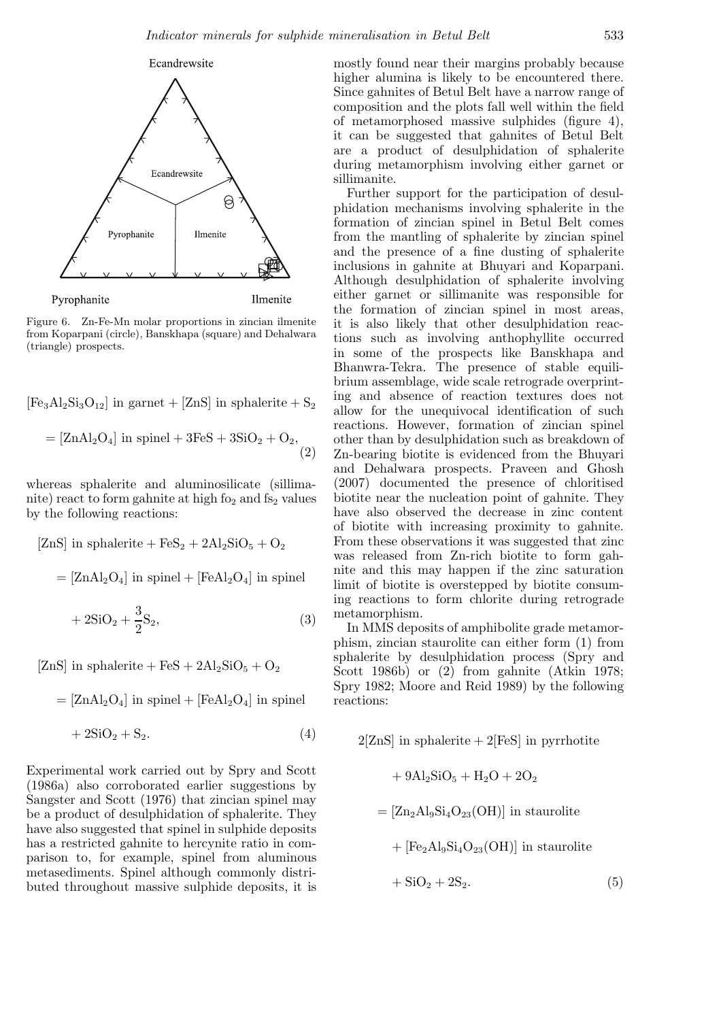

Figure 6. Zn-Fe-Mn molar proportions in zincian ilmenite from Koparpani (circle), Banskhapa (square) and Dehalwara (triangle) prospects.

 $[Fe<sub>3</sub>Al<sub>2</sub>Si<sub>3</sub>O<sub>12</sub>]$  in garnet +  $[ZnS]$  in sphalerite +  $S<sub>2</sub>$ 

$$
= [ZnAl_2O_4] \text{ in spinel} + 3FeS + 3SiO_2 + O_2,
$$
\n
$$
(2)
$$

whereas sphalerite and aluminosilicate (sillimanite) react to form gahnite at high fo<sub>2</sub> and fs<sub>2</sub> values by the following reactions:

$$
[\text{ZnS}] \text{ in sphalerite} + \text{FeS}_2 + 2\text{Al}_2\text{SiO}_5 + \text{O}_2
$$

$$
= [\text{ZnAl}_2\text{O}_4] \text{ in spinel} + [\text{FeAl}_2\text{O}_4] \text{ in spinel}
$$

$$
+ 2\text{SiO}_2 + \frac{3}{2}\text{S}_2,
$$
(3)

[ZnS] in sphalerite + FeS +  $2Al_2SiO_5 + O_2$ 

$$
= [ZnAl2O4] in spinel + [FeAl2O4] in spinel + 2SiO2 + S2.
$$
 (4)

Experimental work carried out by Spry and Scott (1986a) also corroborated earlier suggestions by Sangster and Scott (1976) that zincian spinel may be a product of desulphidation of sphalerite. They have also suggested that spinel in sulphide deposits has a restricted gahnite to hercynite ratio in comparison to, for example, spinel from aluminous metasediments. Spinel although commonly distributed throughout massive sulphide deposits, it is

mostly found near their margins probably because higher alumina is likely to be encountered there. Since gahnites of Betul Belt have a narrow range of composition and the plots fall well within the field of metamorphosed massive sulphides (figure 4), it can be suggested that gahnites of Betul Belt are a product of desulphidation of sphalerite during metamorphism involving either garnet or sillimanite.

Further support for the participation of desulphidation mechanisms involving sphalerite in the formation of zincian spinel in Betul Belt comes from the mantling of sphalerite by zincian spinel and the presence of a fine dusting of sphalerite inclusions in gahnite at Bhuyari and Koparpani. Although desulphidation of sphalerite involving either garnet or sillimanite was responsible for the formation of zincian spinel in most areas, it is also likely that other desulphidation reactions such as involving anthophyllite occurred in some of the prospects like Banskhapa and Bhanwra-Tekra. The presence of stable equilibrium assemblage, wide scale retrograde overprinting and absence of reaction textures does not allow for the unequivocal identification of such reactions. However, formation of zincian spinel other than by desulphidation such as breakdown of Zn-bearing biotite is evidenced from the Bhuyari and Dehalwara prospects. Praveen and Ghosh (2007) documented the presence of chloritised biotite near the nucleation point of gahnite. They have also observed the decrease in zinc content of biotite with increasing proximity to gahnite. From these observations it was suggested that zinc was released from Zn-rich biotite to form gahnite and this may happen if the zinc saturation limit of biotite is overstepped by biotite consuming reactions to form chlorite during retrograde metamorphism.

In MMS deposits of amphibolite grade metamorphism, zincian staurolite can either form (1) from sphalerite by desulphidation process (Spry and Scott 1986b) or (2) from gahnite (Atkin 1978; Spry 1982; Moore and Reid 1989) by the following reactions:

 $2[\text{ZnS}]$  in sphalerite  $+2[\text{FeS}]$  in pyrrhotite

 $+ 9Al_2SiO_5 + H_2O + 2O_2$  $=[Zn<sub>2</sub>Al<sub>9</sub>Si<sub>4</sub>O<sub>23</sub>(OH)]$  in staurolite  $+$   $[Fe<sub>2</sub>Al<sub>9</sub>Si<sub>4</sub>O<sub>23</sub>(OH)]$  in staurolite  $+ SiO<sub>2</sub> + 2S<sub>2</sub>$ . (5)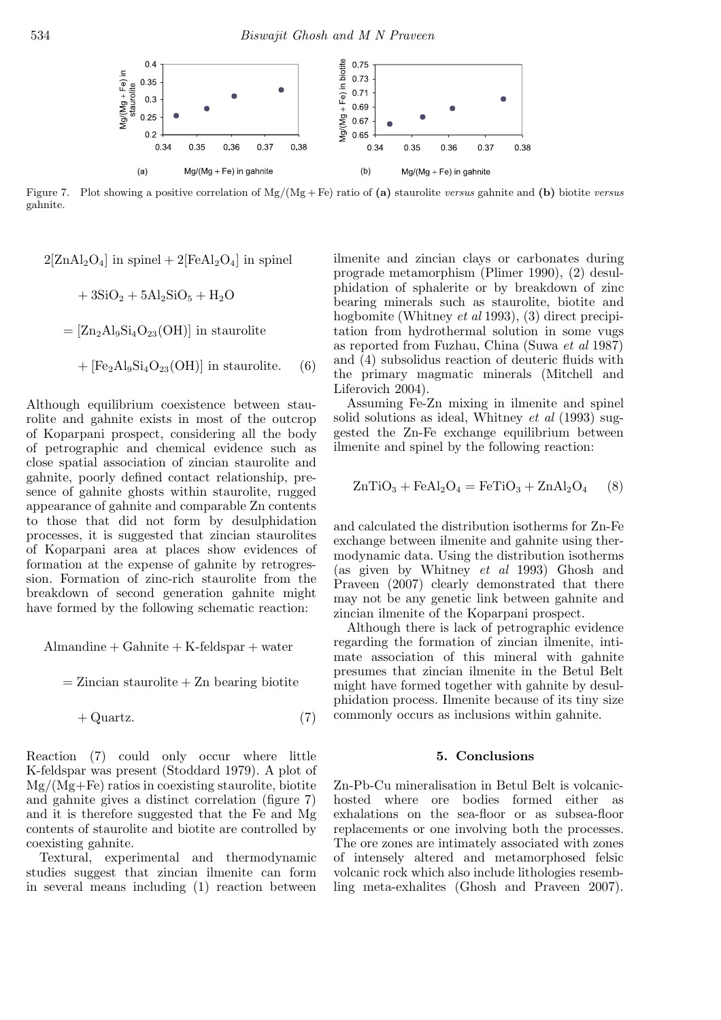

Figure 7. Plot showing a positive correlation of Mg/(Mg + Fe) ratio of (a) staurolite *versus* gahnite and (b) biotite *versus* gahnite.

 $2[ZnA]_2O_4$  in spinel +  $2[FeA]_2O_4$  in spinel

$$
+ 3\text{SiO}_2 + 5\text{Al}_2\text{SiO}_5 + \text{H}_2\text{O}
$$

 $=[Zn<sub>2</sub>Al<sub>9</sub>Si<sub>4</sub>O<sub>23</sub>(OH)]$  in staurolite

+ 
$$
[Fe2Al9Si4O23(OH)]
$$
 in staurolite. (6)

Although equilibrium coexistence between staurolite and gahnite exists in most of the outcrop of Koparpani prospect, considering all the body of petrographic and chemical evidence such as close spatial association of zincian staurolite and gahnite, poorly defined contact relationship, presence of gahnite ghosts within staurolite, rugged appearance of gahnite and comparable Zn contents to those that did not form by desulphidation processes, it is suggested that zincian staurolites of Koparpani area at places show evidences of formation at the expense of gahnite by retrogression. Formation of zinc-rich staurolite from the breakdown of second generation gahnite might have formed by the following schematic reaction:

 $\text{Alman}$ dine + Gahnite + K-feldspar + water

 $=$  Zincian staurolite  $+$  Zn bearing biotite

$$
+\text{Quartz.}\tag{7}
$$

Reaction (7) could only occur where little K-feldspar was present (Stoddard 1979). A plot of Mg/(Mg+Fe) ratios in coexisting staurolite, biotite and gahnite gives a distinct correlation (figure 7) and it is therefore suggested that the Fe and Mg contents of staurolite and biotite are controlled by coexisting gahnite.

Textural, experimental and thermodynamic studies suggest that zincian ilmenite can form in several means including (1) reaction between

ilmenite and zincian clays or carbonates during prograde metamorphism (Plimer 1990), (2) desulphidation of sphalerite or by breakdown of zinc bearing minerals such as staurolite, biotite and hogbomite (Whitney *et al* 1993), (3) direct precipitation from hydrothermal solution in some vugs as reported from Fuzhau, China (Suwa *et al* 1987) and (4) subsolidus reaction of deuteric fluids with the primary magmatic minerals (Mitchell and Liferovich 2004).

Assuming Fe-Zn mixing in ilmenite and spinel solid solutions as ideal, Whitney *et al* (1993) suggested the Zn-Fe exchange equilibrium between ilmenite and spinel by the following reaction:

$$
ZnTiO3 + FeAl2O4 = FeTiO3 + ZnAl2O4 (8)
$$

and calculated the distribution isotherms for Zn-Fe exchange between ilmenite and gahnite using thermodynamic data. Using the distribution isotherms (as given by Whitney *et al* 1993) Ghosh and Praveen (2007) clearly demonstrated that there may not be any genetic link between gahnite and zincian ilmenite of the Koparpani prospect.

Although there is lack of petrographic evidence regarding the formation of zincian ilmenite, intimate association of this mineral with gahnite presumes that zincian ilmenite in the Betul Belt might have formed together with gahnite by desulphidation process. Ilmenite because of its tiny size commonly occurs as inclusions within gahnite.

#### 5. Conclusions

Zn-Pb-Cu mineralisation in Betul Belt is volcanichosted where ore bodies formed either as exhalations on the sea-floor or as subsea-floor replacements or one involving both the processes. The ore zones are intimately associated with zones of intensely altered and metamorphosed felsic volcanic rock which also include lithologies resembling meta-exhalites (Ghosh and Praveen 2007).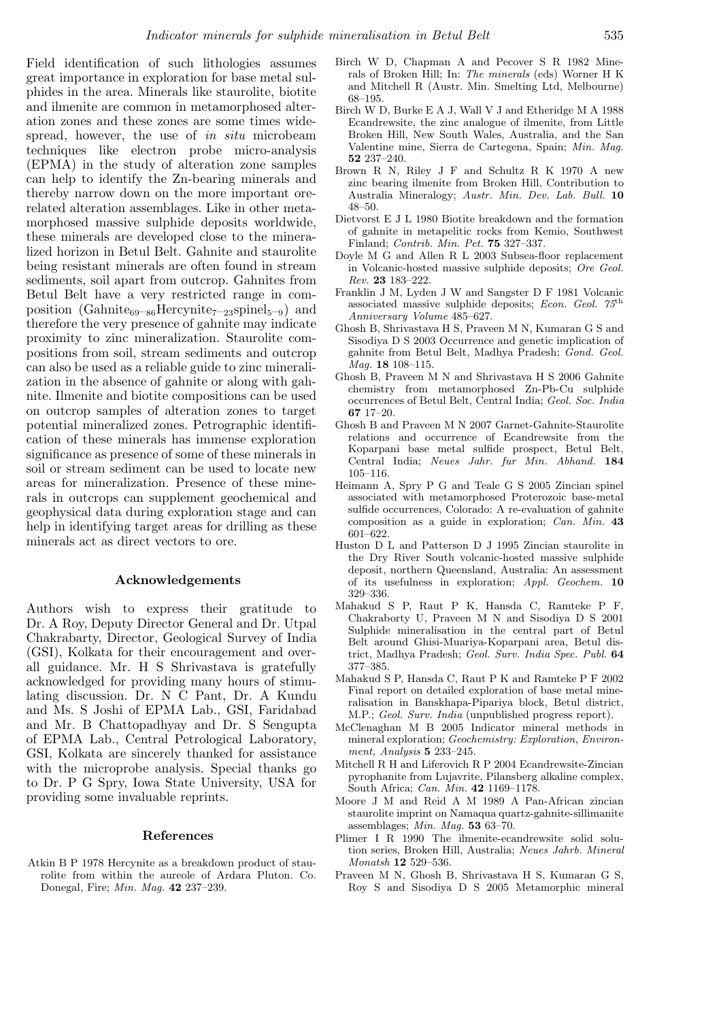Field identification of such lithologies assumes great importance in exploration for base metal sulphides in the area. Minerals like staurolite, biotite and ilmenite are common in metamorphosed alteration zones and these zones are some times widespread, however, the use of *in situ* microbeam techniques like electron probe micro-analysis (EPMA) in the study of alteration zone samples can help to identify the Zn-bearing minerals and thereby narrow down on the more important orerelated alteration assemblages. Like in other metamorphosed massive sulphide deposits worldwide, these minerals are developed close to the mineralized horizon in Betul Belt. Gahnite and staurolite being resistant minerals are often found in stream sediments, soil apart from outcrop. Gahnites from Betul Belt have a very restricted range in composition (Gahnite<sub>69–86</sub>Hercynite<sub>7–23</sub>spinel<sub>5–9</sub>) and therefore the very presence of gahnite may indicate proximity to zinc mineralization. Staurolite compositions from soil, stream sediments and outcrop can also be used as a reliable guide to zinc mineralization in the absence of gahnite or along with gahnite. Ilmenite and biotite compositions can be used on outcrop samples of alteration zones to target potential mineralized zones. Petrographic identification of these minerals has immense exploration significance as presence of some of these minerals in soil or stream sediment can be used to locate new areas for mineralization. Presence of these minerals in outcrops can supplement geochemical and geophysical data during exploration stage and can help in identifying target areas for drilling as these minerals act as direct vectors to ore.

#### Acknowledgements

Authors wish to express their gratitude to Dr. A Roy, Deputy Director General and Dr. Utpal Chakrabarty, Director, Geological Survey of India (GSI), Kolkata for their encouragement and overall guidance. Mr. H S Shrivastava is gratefully acknowledged for providing many hours of stimulating discussion. Dr. N C Pant, Dr. A Kundu and Ms. S Joshi of EPMA Lab., GSI, Faridabad and Mr. B Chattopadhyay and Dr. S Sengupta of EPMA Lab., Central Petrological Laboratory, GSI, Kolkata are sincerely thanked for assistance with the microprobe analysis. Special thanks go to Dr. P G Spry, Iowa State University, USA for providing some invaluable reprints.

#### References

Atkin B P 1978 Hercynite as a breakdown product of staurolite from within the aureole of Ardara Pluton. Co. Donegal, Fire; *Min. Mag.* 42 237–239.

- Birch W D, Chapman A and Pecover S R 1982 Minerals of Broken Hill; In: *The minerals* (eds) Worner H K and Mitchell R (Austr. Min. Smelting Ltd, Melbourne) 68–195.
- Birch W D, Burke E A J, Wall V J and Etheridge M A 1988 Ecandrewsite, the zinc analogue of ilmenite, from Little Broken Hill, New South Wales, Australia, and the San Valentine mine, Sierra de Cartegena, Spain; *Min. Mag.* 52 237–240.
- Brown R N, Riley J F and Schultz R K 1970 A new zinc bearing ilmenite from Broken Hill, Contribution to Australia Mineralogy; *Austr. Min. Dev. Lab. Bull.* 10 48–50.
- Dietvorst E J L 1980 Biotite breakdown and the formation of gahnite in metapelitic rocks from Kemio, Southwest Finland; *Contrib. Min. Pet.* 75 327–337.
- Doyle M G and Allen R L 2003 Subsea-floor replacement in Volcanic-hosted massive sulphide deposits; *Ore Geol. Rev.* 23 183–222.
- Franklin J M, Lyden J W and Sangster D F 1981 Volcanic associated massive sulphide deposits; *Econ. Geol. 75*th *Anniversary Volume* 485–627.
- Ghosh B, Shrivastava H S, Praveen M N, Kumaran G S and Sisodiya D S 2003 Occurrence and genetic implication of gahnite from Betul Belt, Madhya Pradesh; *Gond. Geol. Mag.* 18 108–115.
- Ghosh B, Praveen M N and Shrivastava H S 2006 Gahnite chemistry from metamorphosed Zn-Pb-Cu sulphide occurrences of Betul Belt, Central India; *Geol. Soc. India* 67 17–20.
- Ghosh B and Praveen M N 2007 Garnet-Gahnite-Staurolite relations and occurrence of Ecandrewsite from the Koparpani base metal sulfide prospect, Betul Belt, Central India; *Neues Jahr. fur Min. Abhand.* 184 105–116.
- Heimann A, Spry P G and Teale G S 2005 Zincian spinel associated with metamorphosed Proterozoic base-metal sulfide occurrences, Colorado: A re-evaluation of gahnite composition as a guide in exploration; *Can. Min.* 43 601–622.
- Huston D L and Patterson D J 1995 Zincian staurolite in the Dry River South volcanic-hosted massive sulphide deposit, northern Queensland, Australia: An assessment of its usefulness in exploration; *Appl. Geochem.* 10 329–336.
- Mahakud S P, Raut P K, Hansda C, Ramteke P F, Chakraborty U, Praveen M N and Sisodiya D S 2001 Sulphide mineralisation in the central part of Betul Belt around Ghisi-Muariya-Koparpani area, Betul district, Madhya Pradesh; *Geol. Surv. India Spec. Publ.* 64 377–385.
- Mahakud S P, Hansda C, Raut P K and Ramteke P F 2002 Final report on detailed exploration of base metal mineralisation in Banskhapa-Pipariya block, Betul district, M.P.; *Geol. Surv. India* (unpublished progress report).
- McClenaghan M B 2005 Indicator mineral methods in mineral exploration; *Geochemistry: Exploration, Environment, Analysis* 5 233–245.
- Mitchell R H and Liferovich R P 2004 Ecandrewsite-Zincian pyrophanite from Lujavrite, Pilansberg alkaline complex, South Africa; *Can. Min.* 42 1169–1178.
- Moore J M and Reid A M 1989 A Pan-African zincian staurolite imprint on Namaqua quartz-gahnite-sillimanite assemblages; *Min. Mag.* 53 63–70.
- Plimer I R 1990 The ilmenite-ecandrewsite solid solution series, Broken Hill, Australia; *Neues Jahrb. Mineral Monatsh* 12 529–536.
- Praveen M N, Ghosh B, Shrivastava H S, Kumaran G S, Roy S and Sisodiya D S 2005 Metamorphic mineral